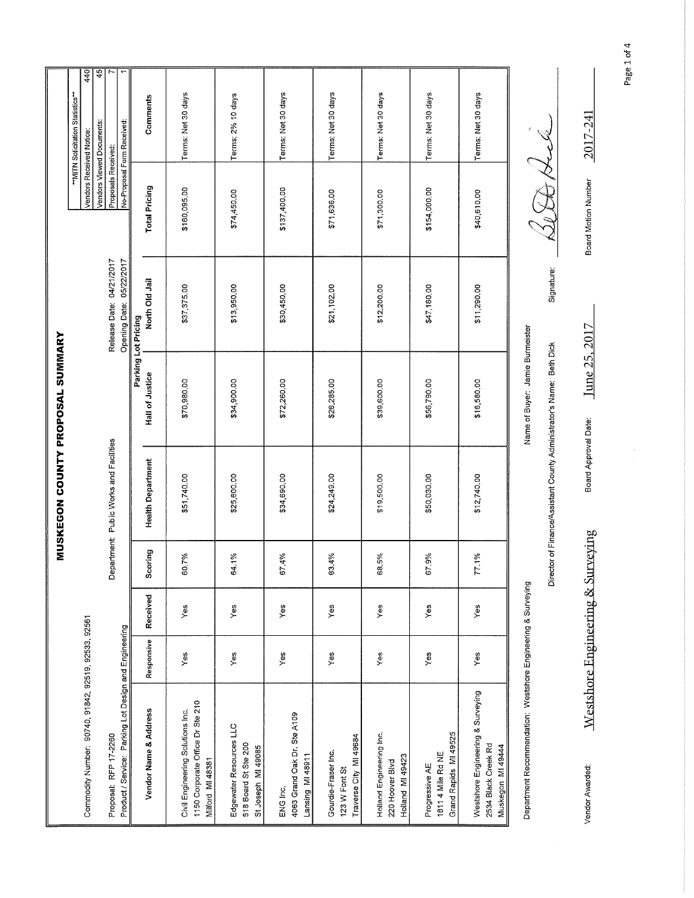|                                         | 440<br>45                                                   | 7<br>Ţ                                                                         |                     |                          |                                                                                          |                                                                       |                                                             |                                                                |                                                                 |                                                              |                                                                               |                                                                      |
|-----------------------------------------|-------------------------------------------------------------|--------------------------------------------------------------------------------|---------------------|--------------------------|------------------------------------------------------------------------------------------|-----------------------------------------------------------------------|-------------------------------------------------------------|----------------------------------------------------------------|-----------------------------------------------------------------|--------------------------------------------------------------|-------------------------------------------------------------------------------|----------------------------------------------------------------------|
| <b>MUSKEGON COUNTY PROPOSAL SUMMARY</b> | "MITN Solicitation Statistics"<br>Vendors Viewed Documents: | No-Proposal Form Received:                                                     |                     | Comments                 | Terms: Net 30 days                                                                       | Terms: 2% 10 days                                                     | Terms: Net 30 days                                          | Terms: Net 30 days                                             | Terms: Net 30 days                                              | Terms: Net 30 days                                           | Terms: Net 30 days                                                            |                                                                      |
|                                         | Vendors Received Notice:                                    | Proposals Received:                                                            |                     | <b>Total Pricing</b>     | \$160,095.00                                                                             | \$74,450.00                                                           | \$137,400.00                                                | \$71,636.00                                                    | \$71,300.00                                                     | \$154,000.00                                                 | \$40,610.00                                                                   |                                                                      |
|                                         |                                                             | Release Date: 04/21/2017<br>05/22/2017<br>Opening Date:                        |                     | North Old Jail           | \$37,375.00                                                                              | \$13,950.00                                                           | \$30,450.00                                                 | \$21,102.00                                                    | \$12,200.00                                                     | \$47,180.00                                                  | \$11,290.00                                                                   | Signature:                                                           |
|                                         |                                                             |                                                                                | Parking Lot Pricing | <b>Hall of Justice</b>   | \$70,980.00                                                                              | \$34,900.00                                                           | \$72,260.00                                                 | \$26,285.00                                                    | \$39,600.00                                                     | \$56,790.00                                                  | \$16,580.00                                                                   | Name of Buyer: Jamie Burmeister                                      |
|                                         |                                                             | Department: Public Works and Facilities                                        |                     | <b>Health Department</b> | \$51,740.00                                                                              | \$25,600.00                                                           | \$34,690.00                                                 | \$24,249.00                                                    | \$19,500.00                                                     | \$50,030.00                                                  | \$12,740.00                                                                   | Director of Finance/Assistant County Administrator's Name: Beth Dick |
|                                         |                                                             |                                                                                |                     | Scoring                  | 60.7%                                                                                    | 64.1%                                                                 | 67.4%                                                       | 63.4%                                                          | 68.5%                                                           | 67.9%                                                        | 77.1%                                                                         |                                                                      |
|                                         |                                                             |                                                                                |                     | Received                 | Yes                                                                                      | Yes                                                                   | Yes                                                         | Yes                                                            | Yes                                                             | Yes                                                          | Yes                                                                           |                                                                      |
|                                         |                                                             |                                                                                |                     | Responsive               | Yes                                                                                      | Yes                                                                   | Yes                                                         | Υes                                                            | Yes                                                             | YeS                                                          | Yes                                                                           |                                                                      |
|                                         | Commodity Number: 90740, 91842, 92519, 92533, 92561         | Product / Service: Parking Lot Design and Engineering<br>Proposal: RFP 17-2260 |                     | Vendor Name & Address    | 1150 Corporate Office Dr Ste 210<br>Civil Engineering Solutions Inc.<br>Milford MI 48381 | Edgewater Resources LLC<br>518 Board St Ste 200<br>St Joseph MI 49085 | 4063 Grand Oak Dr. Ste A109<br>Lansing MI 48911<br>ENG Inc. | Traverse City MI 49684<br>Gourdie-Fraser Inc.<br>123 W Font St | Holland Engineering Inc.<br>Holland MI 49423<br>220 Hoover Blvd | Grand Rapids MI 49525<br>1811 4 Mile Rd NE<br>Progressive AE | Westshore Engineering & Surveying<br>2534 Black Creek Rd<br>Muskegon MI 49444 | Department Recommendation: Westshore Engineering & Surveying         |

Page 1 of 4

Board Motion Number  $2017 - 241$ 

 $\overline{1}$ 

Board Approval Date: June 25, 2017

Westshore Engineering & Surveying

Vendor Awarded:

 $\ddot{\phantom{0}}$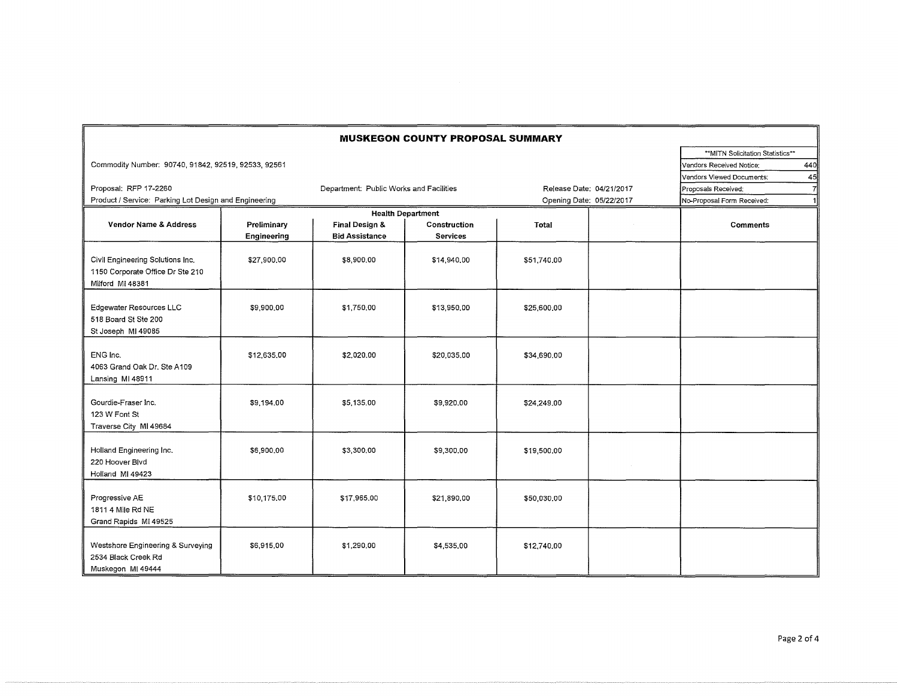| <b>MUSKEGON COUNTY PROPOSAL SUMMARY</b>                                                  |                            |                                         |                                 |                          |  |                            |  |  |  |
|------------------------------------------------------------------------------------------|----------------------------|-----------------------------------------|---------------------------------|--------------------------|--|----------------------------|--|--|--|
|                                                                                          |                            | ** MITN Solicitation Statistics**       |                                 |                          |  |                            |  |  |  |
| Commodity Number: 90740, 91842, 92519, 92533, 92561                                      |                            | 440<br>Vendors Received Notice:         |                                 |                          |  |                            |  |  |  |
|                                                                                          |                            | Vendors Viewed Documents:<br>45         |                                 |                          |  |                            |  |  |  |
| Proposal: RFP 17-2260                                                                    |                            | Department: Public Works and Facilities |                                 | Release Date: 04/21/2017 |  | Proposals Received:        |  |  |  |
| Product / Service: Parking Lot Design and Engineering                                    |                            |                                         |                                 | Opening Date: 05/22/2017 |  | No-Proposal Form Received: |  |  |  |
|                                                                                          |                            | <b>Health Department</b>                |                                 |                          |  |                            |  |  |  |
| <b>Vendor Name &amp; Address</b>                                                         | Preliminary<br>Engineering | Final Design &<br><b>Bid Assistance</b> | Construction<br><b>Services</b> | <b>Total</b>             |  | <b>Comments</b>            |  |  |  |
| Civil Engineering Solutions Inc.<br>1150 Corporate Office Dr Ste 210<br>Milford MI 48381 | \$27,900,00                | \$8,900.00                              | \$14,940.00                     | \$51,740.00              |  |                            |  |  |  |
| Edgewater Resources LLC<br>518 Board St Ste 200<br>St Joseph MI 49085                    | \$9,900,00                 | \$1,750,00                              | \$13,950,00                     | \$25,600,00              |  |                            |  |  |  |
| ENG Inc.<br>4063 Grand Oak Dr. Ste A109<br>Lansing MI 48911                              | \$12,635,00                | \$2,020.00                              | \$20,035.00                     | \$34,690.00              |  |                            |  |  |  |
| Gourdie-Fraser Inc.<br>123 W Font St<br>Traverse City MI 49684                           | \$9.194.00                 | \$5 135.00                              | \$9,920.00                      | \$24,249.00              |  |                            |  |  |  |
| Holland Engineering Inc.<br>220 Hoover Blvd<br>Holland MI 49423                          | \$6,900.00                 | \$3,300,00                              | \$9,300.00                      | \$19,500.00              |  |                            |  |  |  |
| Progressive AE<br>1811 4 Mile Rd NE<br>Grand Rapids MI 49525                             | \$10,175.00                | \$17,965,00                             | \$21,890.00                     | \$50,030.00              |  |                            |  |  |  |
| Westshore Engineering & Surveying<br>2534 Black Creek Rd<br>Muskegon MI 49444            | \$6,915,00                 | \$1,290.00                              | \$4,535.00                      | \$12,740.00              |  |                            |  |  |  |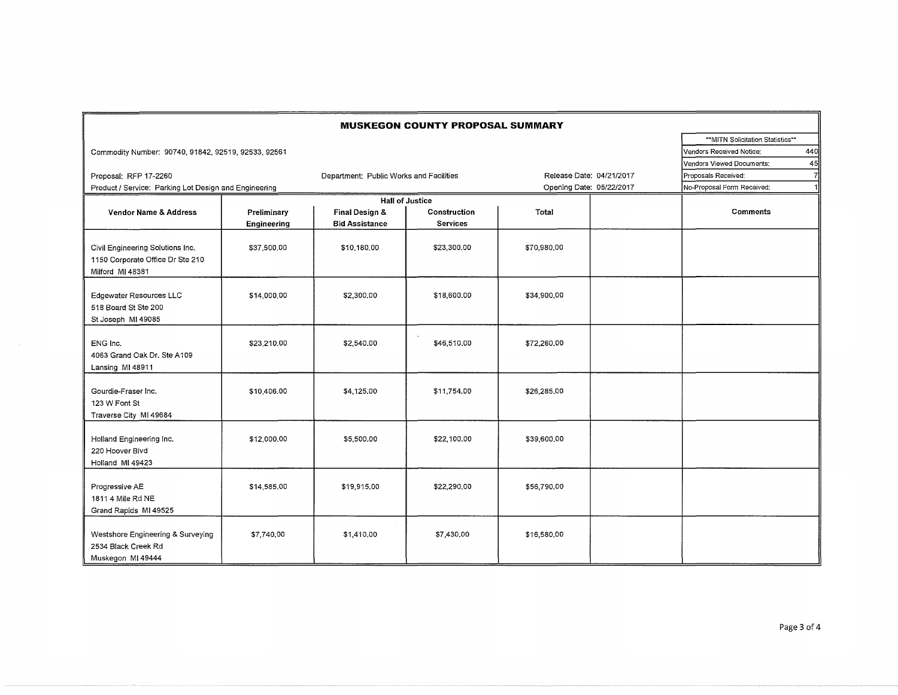|                                                                                          |                                  |                                         | <b>MUSKEGON COUNTY PROPOSAL SUMMARY</b> |                          |  |                            |                |
|------------------------------------------------------------------------------------------|----------------------------------|-----------------------------------------|-----------------------------------------|--------------------------|--|----------------------------|----------------|
|                                                                                          | **MITN Solicitation Statistics** |                                         |                                         |                          |  |                            |                |
| Commodity Number: 90740, 91842, 92519, 92533, 92561                                      | Vendors Received Notice:         | 440                                     |                                         |                          |  |                            |                |
|                                                                                          |                                  |                                         |                                         |                          |  | Vendors Viewed Documents:  | 45             |
| Proposal: RFP 17-2260                                                                    |                                  | Department: Public Works and Facilities |                                         | Release Date: 04/21/2017 |  | Proposals Received:        | $\overline{7}$ |
| Product / Service: Parking Lot Design and Engineering                                    |                                  |                                         |                                         | Opening Date: 05/22/2017 |  | No-Proposal Form Received: | $\mathbf{1}$   |
|                                                                                          |                                  |                                         |                                         |                          |  |                            |                |
| <b>Vendor Name &amp; Address</b>                                                         | Preliminary                      | Final Design &                          | <b>Hall of Justice</b><br>Construction  | Total                    |  | <b>Comments</b>            |                |
|                                                                                          | Engineering                      | <b>Bid Assistance</b>                   | <b>Services</b>                         |                          |  |                            |                |
| Civil Engineering Solutions Inc.<br>1150 Corporate Office Dr Ste 210<br>Milford MI 48381 | \$37,500,00                      | \$10,180,00                             | \$23,300.00                             | \$70,980,00              |  |                            |                |
| Edgewater Resources LLC<br>518 Board St Ste 200<br>St Joseph MI 49085                    | \$14,000.00                      | \$2,300.00                              | \$18,600.00                             | \$34,900,00              |  |                            |                |
| ENG Inc.<br>4063 Grand Oak Dr. Ste A109<br>Lansing MI 48911                              | \$23,210.00                      | \$2,540.00                              | \$46,510.00                             | \$72,260.00              |  |                            |                |
| Gourdie-Fraser Inc.<br>123 W Font St<br>Traverse City MI 49684                           | \$10,406.00                      | \$4,125.00                              | \$11,754.00                             | \$26,285.00              |  |                            |                |
| Holland Engineering Inc.<br>220 Hoover Blvd<br>Holland MI 49423                          | \$12,000.00                      | \$5,500,00                              | \$22,100.00                             | \$39,600.00              |  |                            |                |
| Progressive AE<br>1811 4 Mile Rd NE<br>Grand Rapids MI 49525                             | \$14,585.00                      | \$19,915.00                             | \$22,290.00                             | \$56,790.00              |  |                            |                |
| Westshore Engineering & Surveying<br>2534 Black Creek Rd<br>Muskegon MI 49444            | \$7,740,00                       | \$1,410,00                              | \$7,430.00                              | \$16,580.00              |  |                            |                |